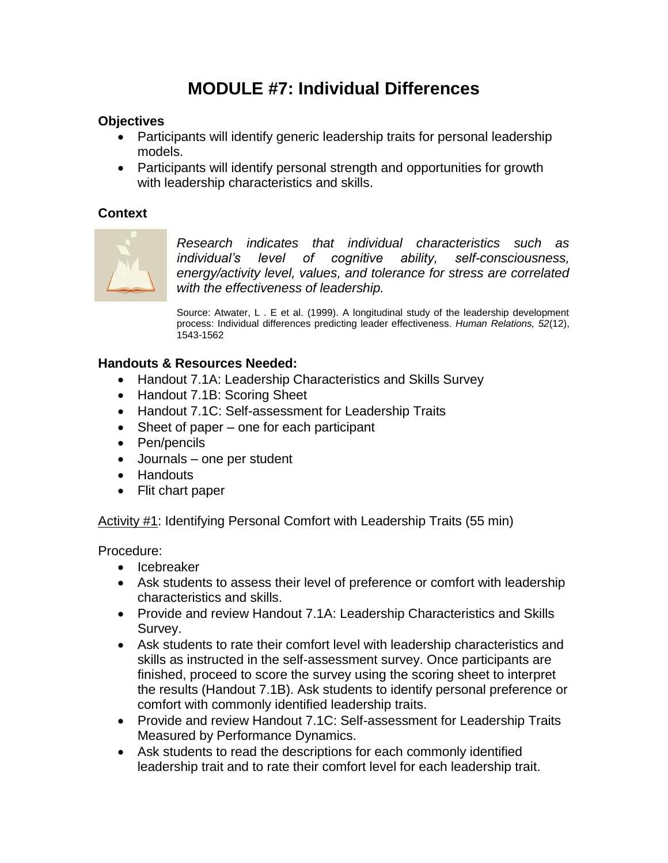# **MODULE #7: Individual Differences**

### **Objectives**

- Participants will identify generic leadership traits for personal leadership models.
- Participants will identify personal strength and opportunities for growth with leadership characteristics and skills.

### **Context**



*Research indicates that individual characteristics such as individual's level of cognitive ability, self-consciousness, energy/activity level, values, and tolerance for stress are correlated with the effectiveness of leadership.* 

Source: Atwater, L . E et al. (1999). A longitudinal study of the leadership development process: Individual differences predicting leader effectiveness. *Human Relations, 52*(12), 1543-1562

#### **Handouts & Resources Needed:**

- Handout 7.1A: Leadership Characteristics and Skills Survey
- Handout 7.1B: Scoring Sheet
- Handout 7.1C: Self-assessment for Leadership Traits
- Sheet of paper one for each participant
- Pen/pencils
- Journals one per student
- Handouts
- Flit chart paper

Activity #1: Identifying Personal Comfort with Leadership Traits (55 min)

Procedure:

- Icebreaker
- Ask students to assess their level of preference or comfort with leadership characteristics and skills.
- Provide and review Handout 7.1A: Leadership Characteristics and Skills Survey.
- Ask students to rate their comfort level with leadership characteristics and skills as instructed in the self-assessment survey. Once participants are finished, proceed to score the survey using the scoring sheet to interpret the results (Handout 7.1B). Ask students to identify personal preference or comfort with commonly identified leadership traits.
- Provide and review Handout 7.1C: Self-assessment for Leadership Traits Measured by Performance Dynamics.
- Ask students to read the descriptions for each commonly identified leadership trait and to rate their comfort level for each leadership trait.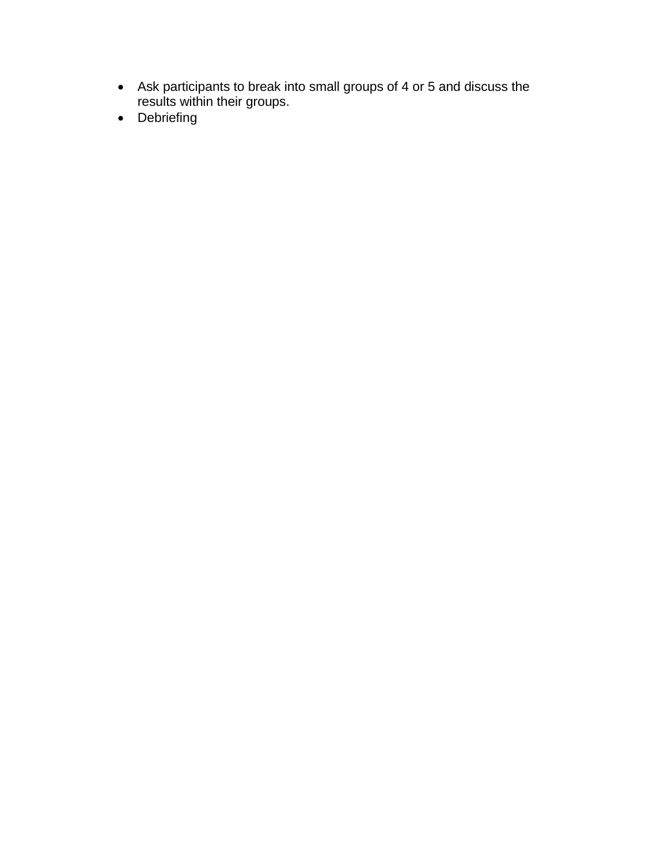- Ask participants to break into small groups of 4 or 5 and discuss the results within their groups.
- Debriefing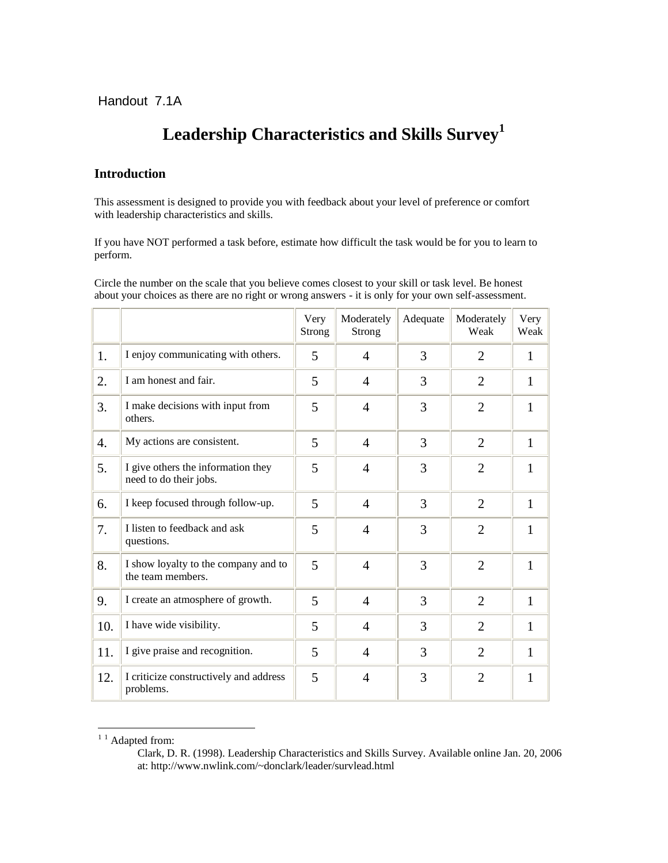# **Leadership Characteristics and Skills Survey<sup>1</sup>**

#### **Introduction**

This assessment is designed to provide you with feedback about your level of preference or comfort with leadership characteristics and skills.

If you have NOT performed a task before, estimate how difficult the task would be for you to learn to perform.

Circle the number on the scale that you believe comes closest to your skill or task level. Be honest about your choices as there are no right or wrong answers - it is only for your own self-assessment.

|     |                                                              | Very<br>Strong | Moderately<br>Strong | Adequate | Moderately<br>Weak | Very<br>Weak |
|-----|--------------------------------------------------------------|----------------|----------------------|----------|--------------------|--------------|
| 1.  | I enjoy communicating with others.                           | 5              | $\overline{4}$       | 3        | $\overline{2}$     | $\mathbf{1}$ |
| 2.  | I am honest and fair.                                        | 5              | $\overline{4}$       | 3        | $\overline{2}$     | $\mathbf{1}$ |
| 3.  | I make decisions with input from<br>others.                  | 5              | $\overline{4}$       | 3        | $\overline{2}$     | 1            |
| 4.  | My actions are consistent.                                   | 5              | $\overline{4}$       | 3        | $\overline{2}$     | $\mathbf{1}$ |
| 5.  | I give others the information they<br>need to do their jobs. | 5              | $\overline{4}$       | 3        | $\overline{2}$     | $\mathbf{1}$ |
| 6.  | I keep focused through follow-up.                            | 5              | $\overline{4}$       | 3        | $\overline{2}$     | $\mathbf{1}$ |
| 7.  | I listen to feedback and ask<br>questions.                   | 5              | $\overline{4}$       | 3        | $\overline{2}$     | $\mathbf{1}$ |
| 8.  | I show loyalty to the company and to<br>the team members.    | 5              | $\overline{4}$       | 3        | $\overline{2}$     | $\mathbf{1}$ |
| 9.  | I create an atmosphere of growth.                            | 5              | $\overline{4}$       | 3        | $\overline{2}$     | $\mathbf{1}$ |
| 10. | I have wide visibility.                                      | 5              | $\overline{4}$       | 3        | $\overline{2}$     | $\mathbf{1}$ |
| 11. | I give praise and recognition.                               | 5              | $\overline{4}$       | 3        | $\overline{2}$     | $\mathbf{1}$ |
| 12. | I criticize constructively and address<br>problems.          | 5              | $\overline{4}$       | 3        | $\overline{2}$     | 1            |

 $11$  Adapted from:

<u>.</u>

Clark, D. R. (1998). Leadership Characteristics and Skills Survey. Available online Jan. 20, 2006 at: http://www.nwlink.com/~donclark/leader/survlead.html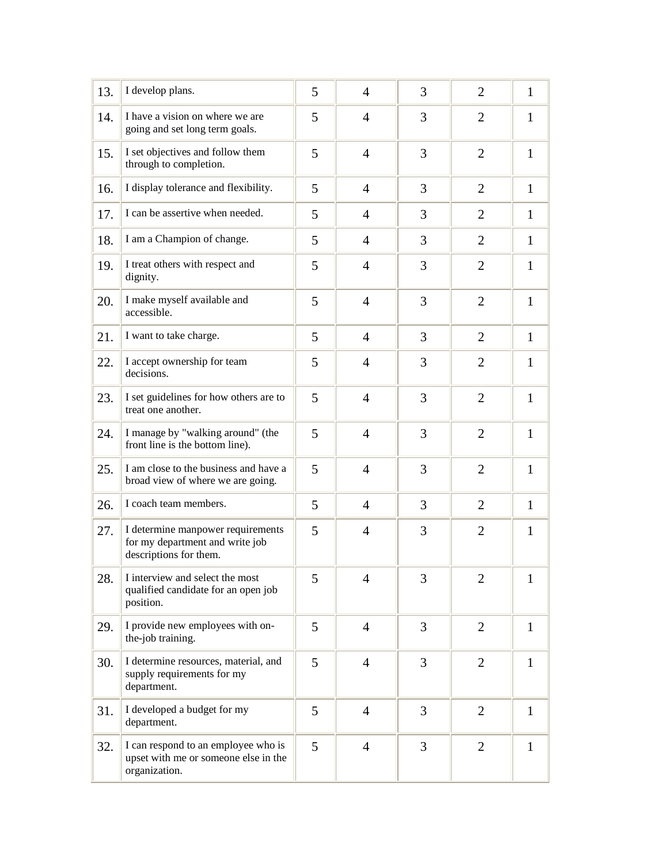| 13. | I develop plans.                                                                               | 5 | $\overline{4}$ | 3 | $\overline{2}$ | $\mathbf{1}$ |
|-----|------------------------------------------------------------------------------------------------|---|----------------|---|----------------|--------------|
| 14. | I have a vision on where we are<br>going and set long term goals.                              | 5 | 4              | 3 | $\overline{2}$ | $\mathbf{1}$ |
| 15. | I set objectives and follow them<br>through to completion.                                     | 5 | $\overline{4}$ | 3 | $\overline{2}$ | $\mathbf{1}$ |
| 16. | I display tolerance and flexibility.                                                           | 5 | $\overline{4}$ | 3 | $\overline{2}$ | $\mathbf{1}$ |
| 17. | I can be assertive when needed.                                                                | 5 | $\overline{4}$ | 3 | $\overline{2}$ | $\mathbf{1}$ |
| 18. | I am a Champion of change.                                                                     | 5 | $\overline{4}$ | 3 | 2              | $\mathbf{1}$ |
| 19. | I treat others with respect and<br>dignity.                                                    | 5 | $\overline{4}$ | 3 | $\overline{2}$ | $\mathbf{1}$ |
| 20. | I make myself available and<br>accessible.                                                     | 5 | $\overline{4}$ | 3 | $\overline{2}$ | $\mathbf{1}$ |
| 21. | I want to take charge.                                                                         | 5 | 4              | 3 | $\overline{2}$ | $\mathbf{1}$ |
| 22. | I accept ownership for team<br>decisions.                                                      | 5 | 4              | 3 | $\overline{2}$ | $\mathbf{1}$ |
| 23. | I set guidelines for how others are to<br>treat one another.                                   | 5 | $\overline{4}$ | 3 | $\overline{2}$ | $\mathbf{1}$ |
| 24. | I manage by "walking around" (the<br>front line is the bottom line).                           | 5 | $\overline{4}$ | 3 | $\overline{2}$ | $\mathbf{1}$ |
| 25. | I am close to the business and have a<br>broad view of where we are going.                     | 5 | $\overline{4}$ | 3 | $\overline{2}$ | $\mathbf{1}$ |
| 26. | I coach team members.                                                                          | 5 | $\overline{4}$ | 3 | $\overline{2}$ | $\mathbf{1}$ |
| 27. | I determine manpower requirements<br>for my department and write job<br>descriptions for them. | 5 | $\overline{4}$ | 3 | $\overline{2}$ | 1            |
| 28. | I interview and select the most<br>qualified candidate for an open job<br>position.            | 5 | 4              | 3 | 2              | 1            |
| 29. | I provide new employees with on-<br>the-job training.                                          | 5 | $\overline{4}$ | 3 | $\overline{2}$ | $\mathbf{1}$ |
| 30. | I determine resources, material, and<br>supply requirements for my<br>department.              | 5 | $\overline{4}$ | 3 | $\overline{2}$ | 1            |
| 31. | I developed a budget for my<br>department.                                                     | 5 | $\overline{4}$ | 3 | $\overline{2}$ | $\mathbf{1}$ |
| 32. | I can respond to an employee who is<br>upset with me or someone else in the<br>organization.   | 5 | $\overline{4}$ | 3 | $\overline{2}$ | $\mathbf{1}$ |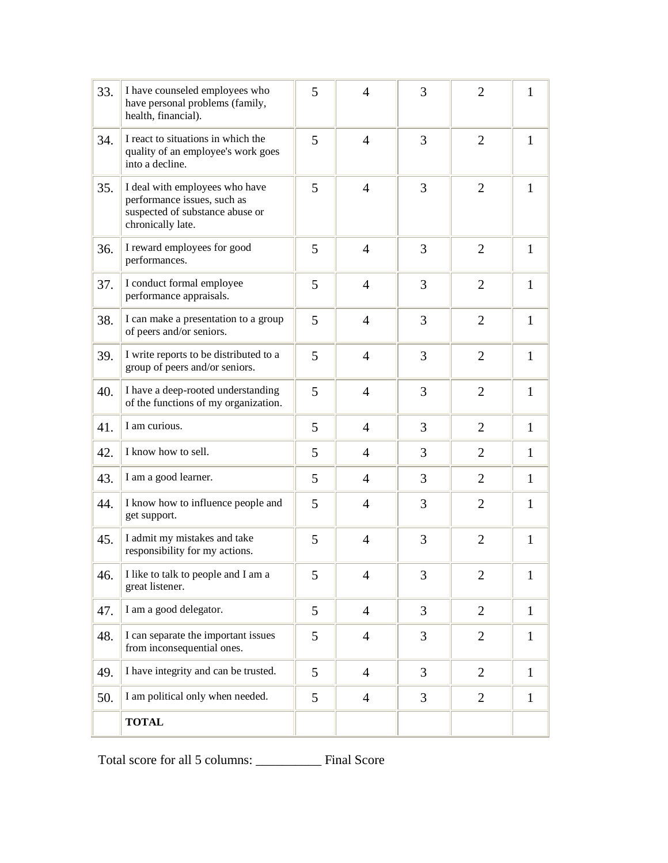| 33. | I have counseled employees who<br>have personal problems (family,<br>health, financial).                              | 5 | $\overline{4}$ | 3 | $\overline{2}$ | $\mathbf{1}$ |
|-----|-----------------------------------------------------------------------------------------------------------------------|---|----------------|---|----------------|--------------|
| 34. | I react to situations in which the<br>quality of an employee's work goes<br>into a decline.                           | 5 | $\overline{4}$ | 3 | 2              | $\mathbf{1}$ |
| 35. | I deal with employees who have<br>performance issues, such as<br>suspected of substance abuse or<br>chronically late. | 5 | $\overline{4}$ | 3 | 2              | $\mathbf{1}$ |
| 36. | I reward employees for good<br>performances.                                                                          | 5 | $\overline{4}$ | 3 | $\overline{2}$ | $\mathbf{1}$ |
| 37. | I conduct formal employee<br>performance appraisals.                                                                  | 5 | $\overline{4}$ | 3 | $\overline{2}$ | $\mathbf{1}$ |
| 38. | I can make a presentation to a group<br>of peers and/or seniors.                                                      | 5 | $\overline{4}$ | 3 | $\overline{2}$ | $\mathbf{1}$ |
| 39. | I write reports to be distributed to a<br>group of peers and/or seniors.                                              | 5 | $\overline{4}$ | 3 | $\overline{2}$ | $\mathbf{1}$ |
| 40. | I have a deep-rooted understanding<br>of the functions of my organization.                                            | 5 | $\overline{4}$ | 3 | $\overline{2}$ | $\mathbf{1}$ |
| 41. | I am curious.                                                                                                         | 5 | $\overline{4}$ | 3 | $\overline{2}$ | $\mathbf{1}$ |
| 42. | I know how to sell.                                                                                                   | 5 | $\overline{4}$ | 3 | $\overline{2}$ | $\mathbf{1}$ |
| 43. | I am a good learner.                                                                                                  | 5 | $\overline{4}$ | 3 | $\overline{2}$ | $\mathbf{1}$ |
| 44. | I know how to influence people and<br>get support.                                                                    | 5 | $\overline{4}$ | 3 | $\overline{2}$ | $\mathbf{1}$ |
| 45. | I admit my mistakes and take<br>responsibility for my actions.                                                        | 5 | $\overline{4}$ | 3 | $\overline{2}$ | $\mathbf{1}$ |
| 46. | I like to talk to people and I am a<br>great listener.                                                                | 5 | $\overline{4}$ | 3 | $\overline{2}$ | $\mathbf{1}$ |
| 47. | I am a good delegator.                                                                                                | 5 | $\overline{4}$ | 3 | $\overline{2}$ | $\mathbf{1}$ |
| 48. | I can separate the important issues<br>from inconsequential ones.                                                     | 5 | $\overline{4}$ | 3 | $\overline{2}$ | $\mathbf{1}$ |
| 49. | I have integrity and can be trusted.                                                                                  | 5 | $\overline{4}$ | 3 | $\overline{2}$ | $\mathbf{1}$ |
| 50. | I am political only when needed.                                                                                      | 5 | $\overline{4}$ | 3 | $\overline{2}$ | $\mathbf{1}$ |
|     | <b>TOTAL</b>                                                                                                          |   |                |   |                |              |

Total score for all 5 columns: \_\_\_\_\_\_\_\_\_\_ Final Score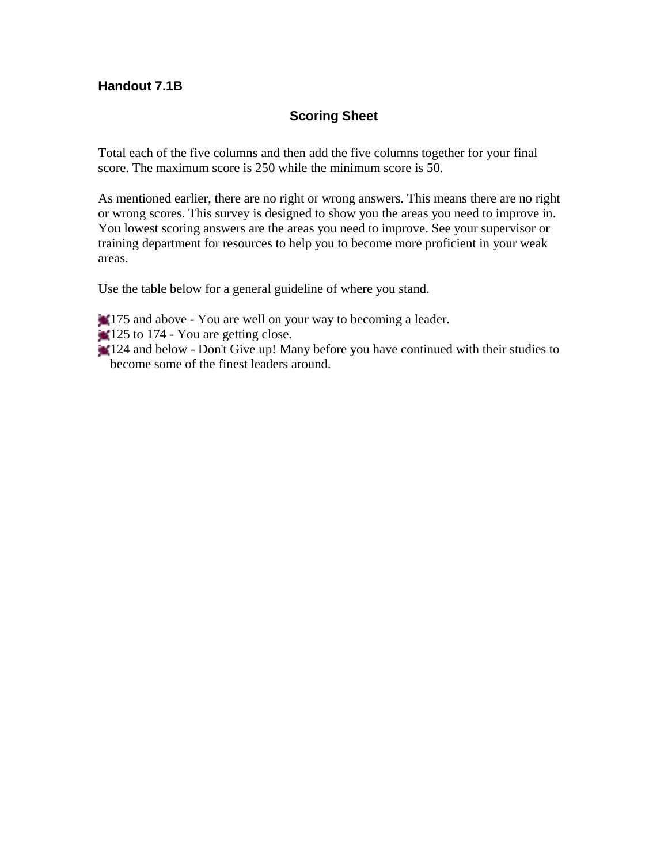## **Handout 7.1B**

## **Scoring Sheet**

Total each of the five columns and then add the five columns together for your final score. The maximum score is 250 while the minimum score is 50.

As mentioned earlier, there are no right or wrong answers. This means there are no right or wrong scores. This survey is designed to show you the areas you need to improve in. You lowest scoring answers are the areas you need to improve. See your supervisor or training department for resources to help you to become more proficient in your weak areas.

Use the table below for a general guideline of where you stand.

175 and above - You are well on your way to becoming a leader.

- **125 to 174 You are getting close.**
- 124 and below Don't Give up! Many before you have continued with their studies to become some of the finest leaders around.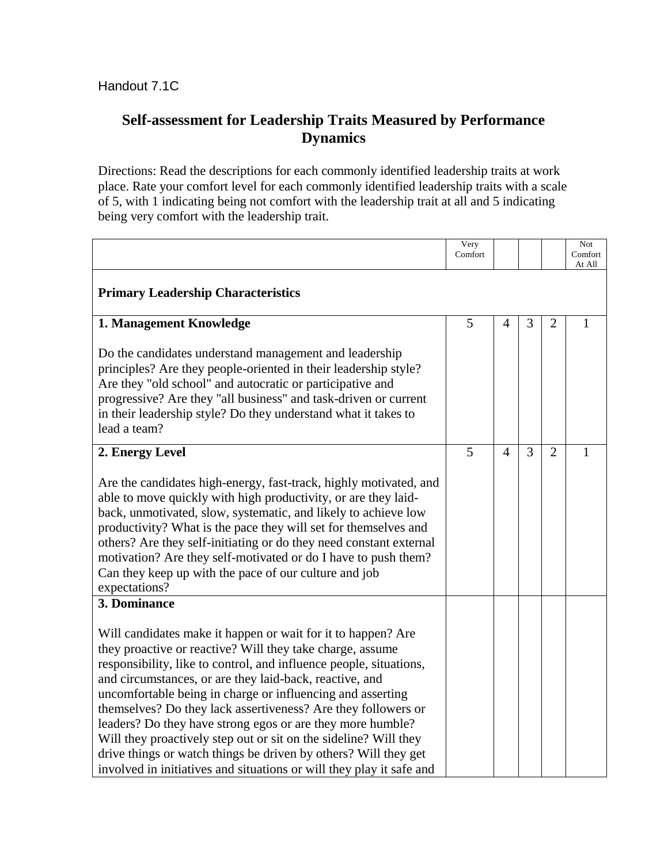# **Self-assessment for Leadership Traits Measured by Performance Dynamics**

Directions: Read the descriptions for each commonly identified leadership traits at work place. Rate your comfort level for each commonly identified leadership traits with a scale of 5, with 1 indicating being not comfort with the leadership trait at all and 5 indicating being very comfort with the leadership trait.

|                                                                                                                                                                                                                                                                                                                                                                                                                                                                                                                                                                                                                                                                        | Very<br>Comfort |                |   |                | Not<br>Comfort<br>At All |
|------------------------------------------------------------------------------------------------------------------------------------------------------------------------------------------------------------------------------------------------------------------------------------------------------------------------------------------------------------------------------------------------------------------------------------------------------------------------------------------------------------------------------------------------------------------------------------------------------------------------------------------------------------------------|-----------------|----------------|---|----------------|--------------------------|
| <b>Primary Leadership Characteristics</b>                                                                                                                                                                                                                                                                                                                                                                                                                                                                                                                                                                                                                              |                 |                |   |                |                          |
| 1. Management Knowledge                                                                                                                                                                                                                                                                                                                                                                                                                                                                                                                                                                                                                                                | 5               | 4              | 3 | 2              | 1                        |
| Do the candidates understand management and leadership<br>principles? Are they people-oriented in their leadership style?<br>Are they "old school" and autocratic or participative and<br>progressive? Are they "all business" and task-driven or current<br>in their leadership style? Do they understand what it takes to<br>lead a team?                                                                                                                                                                                                                                                                                                                            |                 |                |   |                |                          |
| 2. Energy Level                                                                                                                                                                                                                                                                                                                                                                                                                                                                                                                                                                                                                                                        | 5               | $\overline{4}$ | 3 | $\mathfrak{D}$ | 1                        |
| Are the candidates high-energy, fast-track, highly motivated, and<br>able to move quickly with high productivity, or are they laid-<br>back, unmotivated, slow, systematic, and likely to achieve low<br>productivity? What is the pace they will set for themselves and<br>others? Are they self-initiating or do they need constant external<br>motivation? Are they self-motivated or do I have to push them?<br>Can they keep up with the pace of our culture and job<br>expectations?                                                                                                                                                                             |                 |                |   |                |                          |
| 3. Dominance                                                                                                                                                                                                                                                                                                                                                                                                                                                                                                                                                                                                                                                           |                 |                |   |                |                          |
| Will candidates make it happen or wait for it to happen? Are<br>they proactive or reactive? Will they take charge, assume<br>responsibility, like to control, and influence people, situations,<br>and circumstances, or are they laid-back, reactive, and<br>uncomfortable being in charge or influencing and asserting<br>themselves? Do they lack assertiveness? Are they followers or<br>leaders? Do they have strong egos or are they more humble?<br>Will they proactively step out or sit on the sideline? Will they<br>drive things or watch things be driven by others? Will they get<br>involved in initiatives and situations or will they play it safe and |                 |                |   |                |                          |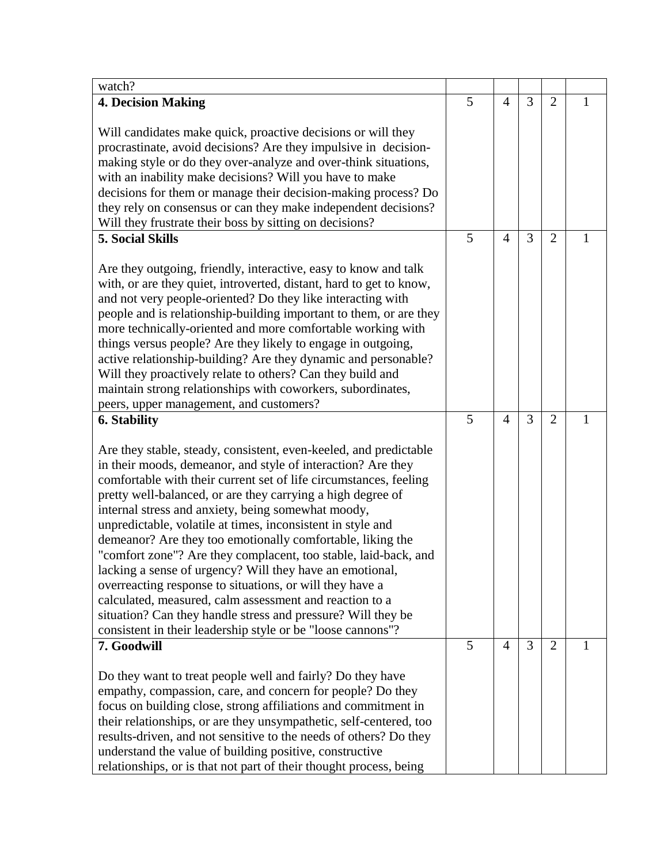| 5<br>3<br><b>4. Decision Making</b><br>$\overline{2}$<br>$\overline{4}$<br>1<br>Will candidates make quick, proactive decisions or will they<br>procrastinate, avoid decisions? Are they impulsive in decision-<br>making style or do they over-analyze and over-think situations,<br>with an inability make decisions? Will you have to make<br>decisions for them or manage their decision-making process? Do<br>they rely on consensus or can they make independent decisions?<br>Will they frustrate their boss by sitting on decisions?<br><b>5. Social Skills</b><br>5<br>3<br>$\overline{4}$<br>$\overline{2}$<br>1<br>Are they outgoing, friendly, interactive, easy to know and talk<br>with, or are they quiet, introverted, distant, hard to get to know,<br>and not very people-oriented? Do they like interacting with<br>people and is relationship-building important to them, or are they<br>more technically-oriented and more comfortable working with<br>things versus people? Are they likely to engage in outgoing,<br>active relationship-building? Are they dynamic and personable?<br>Will they proactively relate to others? Can they build and<br>maintain strong relationships with coworkers, subordinates,<br>peers, upper management, and customers?<br>5<br><b>6. Stability</b><br>3<br>$\overline{4}$<br>$\overline{2}$<br>1<br>Are they stable, steady, consistent, even-keeled, and predictable<br>in their moods, demeanor, and style of interaction? Are they<br>comfortable with their current set of life circumstances, feeling<br>pretty well-balanced, or are they carrying a high degree of<br>internal stress and anxiety, being somewhat moody,<br>unpredictable, volatile at times, inconsistent in style and<br>demeanor? Are they too emotionally comfortable, liking the<br>"comfort zone"? Are they complacent, too stable, laid-back, and<br>lacking a sense of urgency? Will they have an emotional,<br>overreacting response to situations, or will they have a<br>calculated, measured, calm assessment and reaction to a<br>situation? Can they handle stress and pressure? Will they be<br>consistent in their leadership style or be "loose cannons"?<br>5<br>$\overline{4}$<br>3<br>7. Goodwill<br>$\overline{2}$<br>Do they want to treat people well and fairly? Do they have | watch? |  |  |  |
|------------------------------------------------------------------------------------------------------------------------------------------------------------------------------------------------------------------------------------------------------------------------------------------------------------------------------------------------------------------------------------------------------------------------------------------------------------------------------------------------------------------------------------------------------------------------------------------------------------------------------------------------------------------------------------------------------------------------------------------------------------------------------------------------------------------------------------------------------------------------------------------------------------------------------------------------------------------------------------------------------------------------------------------------------------------------------------------------------------------------------------------------------------------------------------------------------------------------------------------------------------------------------------------------------------------------------------------------------------------------------------------------------------------------------------------------------------------------------------------------------------------------------------------------------------------------------------------------------------------------------------------------------------------------------------------------------------------------------------------------------------------------------------------------------------------------------------------------------------------------------------------------------------------------------------------------------------------------------------------------------------------------------------------------------------------------------------------------------------------------------------------------------------------------------------------------------------------------------------------------------------------------------------------------------------------------------------------|--------|--|--|--|
|                                                                                                                                                                                                                                                                                                                                                                                                                                                                                                                                                                                                                                                                                                                                                                                                                                                                                                                                                                                                                                                                                                                                                                                                                                                                                                                                                                                                                                                                                                                                                                                                                                                                                                                                                                                                                                                                                                                                                                                                                                                                                                                                                                                                                                                                                                                                          |        |  |  |  |
|                                                                                                                                                                                                                                                                                                                                                                                                                                                                                                                                                                                                                                                                                                                                                                                                                                                                                                                                                                                                                                                                                                                                                                                                                                                                                                                                                                                                                                                                                                                                                                                                                                                                                                                                                                                                                                                                                                                                                                                                                                                                                                                                                                                                                                                                                                                                          |        |  |  |  |
|                                                                                                                                                                                                                                                                                                                                                                                                                                                                                                                                                                                                                                                                                                                                                                                                                                                                                                                                                                                                                                                                                                                                                                                                                                                                                                                                                                                                                                                                                                                                                                                                                                                                                                                                                                                                                                                                                                                                                                                                                                                                                                                                                                                                                                                                                                                                          |        |  |  |  |
|                                                                                                                                                                                                                                                                                                                                                                                                                                                                                                                                                                                                                                                                                                                                                                                                                                                                                                                                                                                                                                                                                                                                                                                                                                                                                                                                                                                                                                                                                                                                                                                                                                                                                                                                                                                                                                                                                                                                                                                                                                                                                                                                                                                                                                                                                                                                          |        |  |  |  |
|                                                                                                                                                                                                                                                                                                                                                                                                                                                                                                                                                                                                                                                                                                                                                                                                                                                                                                                                                                                                                                                                                                                                                                                                                                                                                                                                                                                                                                                                                                                                                                                                                                                                                                                                                                                                                                                                                                                                                                                                                                                                                                                                                                                                                                                                                                                                          |        |  |  |  |
|                                                                                                                                                                                                                                                                                                                                                                                                                                                                                                                                                                                                                                                                                                                                                                                                                                                                                                                                                                                                                                                                                                                                                                                                                                                                                                                                                                                                                                                                                                                                                                                                                                                                                                                                                                                                                                                                                                                                                                                                                                                                                                                                                                                                                                                                                                                                          |        |  |  |  |
|                                                                                                                                                                                                                                                                                                                                                                                                                                                                                                                                                                                                                                                                                                                                                                                                                                                                                                                                                                                                                                                                                                                                                                                                                                                                                                                                                                                                                                                                                                                                                                                                                                                                                                                                                                                                                                                                                                                                                                                                                                                                                                                                                                                                                                                                                                                                          |        |  |  |  |
|                                                                                                                                                                                                                                                                                                                                                                                                                                                                                                                                                                                                                                                                                                                                                                                                                                                                                                                                                                                                                                                                                                                                                                                                                                                                                                                                                                                                                                                                                                                                                                                                                                                                                                                                                                                                                                                                                                                                                                                                                                                                                                                                                                                                                                                                                                                                          |        |  |  |  |
|                                                                                                                                                                                                                                                                                                                                                                                                                                                                                                                                                                                                                                                                                                                                                                                                                                                                                                                                                                                                                                                                                                                                                                                                                                                                                                                                                                                                                                                                                                                                                                                                                                                                                                                                                                                                                                                                                                                                                                                                                                                                                                                                                                                                                                                                                                                                          |        |  |  |  |
|                                                                                                                                                                                                                                                                                                                                                                                                                                                                                                                                                                                                                                                                                                                                                                                                                                                                                                                                                                                                                                                                                                                                                                                                                                                                                                                                                                                                                                                                                                                                                                                                                                                                                                                                                                                                                                                                                                                                                                                                                                                                                                                                                                                                                                                                                                                                          |        |  |  |  |
|                                                                                                                                                                                                                                                                                                                                                                                                                                                                                                                                                                                                                                                                                                                                                                                                                                                                                                                                                                                                                                                                                                                                                                                                                                                                                                                                                                                                                                                                                                                                                                                                                                                                                                                                                                                                                                                                                                                                                                                                                                                                                                                                                                                                                                                                                                                                          |        |  |  |  |
|                                                                                                                                                                                                                                                                                                                                                                                                                                                                                                                                                                                                                                                                                                                                                                                                                                                                                                                                                                                                                                                                                                                                                                                                                                                                                                                                                                                                                                                                                                                                                                                                                                                                                                                                                                                                                                                                                                                                                                                                                                                                                                                                                                                                                                                                                                                                          |        |  |  |  |
|                                                                                                                                                                                                                                                                                                                                                                                                                                                                                                                                                                                                                                                                                                                                                                                                                                                                                                                                                                                                                                                                                                                                                                                                                                                                                                                                                                                                                                                                                                                                                                                                                                                                                                                                                                                                                                                                                                                                                                                                                                                                                                                                                                                                                                                                                                                                          |        |  |  |  |
|                                                                                                                                                                                                                                                                                                                                                                                                                                                                                                                                                                                                                                                                                                                                                                                                                                                                                                                                                                                                                                                                                                                                                                                                                                                                                                                                                                                                                                                                                                                                                                                                                                                                                                                                                                                                                                                                                                                                                                                                                                                                                                                                                                                                                                                                                                                                          |        |  |  |  |
|                                                                                                                                                                                                                                                                                                                                                                                                                                                                                                                                                                                                                                                                                                                                                                                                                                                                                                                                                                                                                                                                                                                                                                                                                                                                                                                                                                                                                                                                                                                                                                                                                                                                                                                                                                                                                                                                                                                                                                                                                                                                                                                                                                                                                                                                                                                                          |        |  |  |  |
|                                                                                                                                                                                                                                                                                                                                                                                                                                                                                                                                                                                                                                                                                                                                                                                                                                                                                                                                                                                                                                                                                                                                                                                                                                                                                                                                                                                                                                                                                                                                                                                                                                                                                                                                                                                                                                                                                                                                                                                                                                                                                                                                                                                                                                                                                                                                          |        |  |  |  |
|                                                                                                                                                                                                                                                                                                                                                                                                                                                                                                                                                                                                                                                                                                                                                                                                                                                                                                                                                                                                                                                                                                                                                                                                                                                                                                                                                                                                                                                                                                                                                                                                                                                                                                                                                                                                                                                                                                                                                                                                                                                                                                                                                                                                                                                                                                                                          |        |  |  |  |
|                                                                                                                                                                                                                                                                                                                                                                                                                                                                                                                                                                                                                                                                                                                                                                                                                                                                                                                                                                                                                                                                                                                                                                                                                                                                                                                                                                                                                                                                                                                                                                                                                                                                                                                                                                                                                                                                                                                                                                                                                                                                                                                                                                                                                                                                                                                                          |        |  |  |  |
|                                                                                                                                                                                                                                                                                                                                                                                                                                                                                                                                                                                                                                                                                                                                                                                                                                                                                                                                                                                                                                                                                                                                                                                                                                                                                                                                                                                                                                                                                                                                                                                                                                                                                                                                                                                                                                                                                                                                                                                                                                                                                                                                                                                                                                                                                                                                          |        |  |  |  |
|                                                                                                                                                                                                                                                                                                                                                                                                                                                                                                                                                                                                                                                                                                                                                                                                                                                                                                                                                                                                                                                                                                                                                                                                                                                                                                                                                                                                                                                                                                                                                                                                                                                                                                                                                                                                                                                                                                                                                                                                                                                                                                                                                                                                                                                                                                                                          |        |  |  |  |
|                                                                                                                                                                                                                                                                                                                                                                                                                                                                                                                                                                                                                                                                                                                                                                                                                                                                                                                                                                                                                                                                                                                                                                                                                                                                                                                                                                                                                                                                                                                                                                                                                                                                                                                                                                                                                                                                                                                                                                                                                                                                                                                                                                                                                                                                                                                                          |        |  |  |  |
|                                                                                                                                                                                                                                                                                                                                                                                                                                                                                                                                                                                                                                                                                                                                                                                                                                                                                                                                                                                                                                                                                                                                                                                                                                                                                                                                                                                                                                                                                                                                                                                                                                                                                                                                                                                                                                                                                                                                                                                                                                                                                                                                                                                                                                                                                                                                          |        |  |  |  |
|                                                                                                                                                                                                                                                                                                                                                                                                                                                                                                                                                                                                                                                                                                                                                                                                                                                                                                                                                                                                                                                                                                                                                                                                                                                                                                                                                                                                                                                                                                                                                                                                                                                                                                                                                                                                                                                                                                                                                                                                                                                                                                                                                                                                                                                                                                                                          |        |  |  |  |
|                                                                                                                                                                                                                                                                                                                                                                                                                                                                                                                                                                                                                                                                                                                                                                                                                                                                                                                                                                                                                                                                                                                                                                                                                                                                                                                                                                                                                                                                                                                                                                                                                                                                                                                                                                                                                                                                                                                                                                                                                                                                                                                                                                                                                                                                                                                                          |        |  |  |  |
|                                                                                                                                                                                                                                                                                                                                                                                                                                                                                                                                                                                                                                                                                                                                                                                                                                                                                                                                                                                                                                                                                                                                                                                                                                                                                                                                                                                                                                                                                                                                                                                                                                                                                                                                                                                                                                                                                                                                                                                                                                                                                                                                                                                                                                                                                                                                          |        |  |  |  |
|                                                                                                                                                                                                                                                                                                                                                                                                                                                                                                                                                                                                                                                                                                                                                                                                                                                                                                                                                                                                                                                                                                                                                                                                                                                                                                                                                                                                                                                                                                                                                                                                                                                                                                                                                                                                                                                                                                                                                                                                                                                                                                                                                                                                                                                                                                                                          |        |  |  |  |
|                                                                                                                                                                                                                                                                                                                                                                                                                                                                                                                                                                                                                                                                                                                                                                                                                                                                                                                                                                                                                                                                                                                                                                                                                                                                                                                                                                                                                                                                                                                                                                                                                                                                                                                                                                                                                                                                                                                                                                                                                                                                                                                                                                                                                                                                                                                                          |        |  |  |  |
|                                                                                                                                                                                                                                                                                                                                                                                                                                                                                                                                                                                                                                                                                                                                                                                                                                                                                                                                                                                                                                                                                                                                                                                                                                                                                                                                                                                                                                                                                                                                                                                                                                                                                                                                                                                                                                                                                                                                                                                                                                                                                                                                                                                                                                                                                                                                          |        |  |  |  |
|                                                                                                                                                                                                                                                                                                                                                                                                                                                                                                                                                                                                                                                                                                                                                                                                                                                                                                                                                                                                                                                                                                                                                                                                                                                                                                                                                                                                                                                                                                                                                                                                                                                                                                                                                                                                                                                                                                                                                                                                                                                                                                                                                                                                                                                                                                                                          |        |  |  |  |
|                                                                                                                                                                                                                                                                                                                                                                                                                                                                                                                                                                                                                                                                                                                                                                                                                                                                                                                                                                                                                                                                                                                                                                                                                                                                                                                                                                                                                                                                                                                                                                                                                                                                                                                                                                                                                                                                                                                                                                                                                                                                                                                                                                                                                                                                                                                                          |        |  |  |  |
|                                                                                                                                                                                                                                                                                                                                                                                                                                                                                                                                                                                                                                                                                                                                                                                                                                                                                                                                                                                                                                                                                                                                                                                                                                                                                                                                                                                                                                                                                                                                                                                                                                                                                                                                                                                                                                                                                                                                                                                                                                                                                                                                                                                                                                                                                                                                          |        |  |  |  |
|                                                                                                                                                                                                                                                                                                                                                                                                                                                                                                                                                                                                                                                                                                                                                                                                                                                                                                                                                                                                                                                                                                                                                                                                                                                                                                                                                                                                                                                                                                                                                                                                                                                                                                                                                                                                                                                                                                                                                                                                                                                                                                                                                                                                                                                                                                                                          |        |  |  |  |
|                                                                                                                                                                                                                                                                                                                                                                                                                                                                                                                                                                                                                                                                                                                                                                                                                                                                                                                                                                                                                                                                                                                                                                                                                                                                                                                                                                                                                                                                                                                                                                                                                                                                                                                                                                                                                                                                                                                                                                                                                                                                                                                                                                                                                                                                                                                                          |        |  |  |  |
|                                                                                                                                                                                                                                                                                                                                                                                                                                                                                                                                                                                                                                                                                                                                                                                                                                                                                                                                                                                                                                                                                                                                                                                                                                                                                                                                                                                                                                                                                                                                                                                                                                                                                                                                                                                                                                                                                                                                                                                                                                                                                                                                                                                                                                                                                                                                          |        |  |  |  |
|                                                                                                                                                                                                                                                                                                                                                                                                                                                                                                                                                                                                                                                                                                                                                                                                                                                                                                                                                                                                                                                                                                                                                                                                                                                                                                                                                                                                                                                                                                                                                                                                                                                                                                                                                                                                                                                                                                                                                                                                                                                                                                                                                                                                                                                                                                                                          |        |  |  |  |
|                                                                                                                                                                                                                                                                                                                                                                                                                                                                                                                                                                                                                                                                                                                                                                                                                                                                                                                                                                                                                                                                                                                                                                                                                                                                                                                                                                                                                                                                                                                                                                                                                                                                                                                                                                                                                                                                                                                                                                                                                                                                                                                                                                                                                                                                                                                                          |        |  |  |  |
|                                                                                                                                                                                                                                                                                                                                                                                                                                                                                                                                                                                                                                                                                                                                                                                                                                                                                                                                                                                                                                                                                                                                                                                                                                                                                                                                                                                                                                                                                                                                                                                                                                                                                                                                                                                                                                                                                                                                                                                                                                                                                                                                                                                                                                                                                                                                          |        |  |  |  |
|                                                                                                                                                                                                                                                                                                                                                                                                                                                                                                                                                                                                                                                                                                                                                                                                                                                                                                                                                                                                                                                                                                                                                                                                                                                                                                                                                                                                                                                                                                                                                                                                                                                                                                                                                                                                                                                                                                                                                                                                                                                                                                                                                                                                                                                                                                                                          |        |  |  |  |
| empathy, compassion, care, and concern for people? Do they                                                                                                                                                                                                                                                                                                                                                                                                                                                                                                                                                                                                                                                                                                                                                                                                                                                                                                                                                                                                                                                                                                                                                                                                                                                                                                                                                                                                                                                                                                                                                                                                                                                                                                                                                                                                                                                                                                                                                                                                                                                                                                                                                                                                                                                                               |        |  |  |  |
| focus on building close, strong affiliations and commitment in                                                                                                                                                                                                                                                                                                                                                                                                                                                                                                                                                                                                                                                                                                                                                                                                                                                                                                                                                                                                                                                                                                                                                                                                                                                                                                                                                                                                                                                                                                                                                                                                                                                                                                                                                                                                                                                                                                                                                                                                                                                                                                                                                                                                                                                                           |        |  |  |  |
| their relationships, or are they unsympathetic, self-centered, too<br>results-driven, and not sensitive to the needs of others? Do they                                                                                                                                                                                                                                                                                                                                                                                                                                                                                                                                                                                                                                                                                                                                                                                                                                                                                                                                                                                                                                                                                                                                                                                                                                                                                                                                                                                                                                                                                                                                                                                                                                                                                                                                                                                                                                                                                                                                                                                                                                                                                                                                                                                                  |        |  |  |  |
| understand the value of building positive, constructive                                                                                                                                                                                                                                                                                                                                                                                                                                                                                                                                                                                                                                                                                                                                                                                                                                                                                                                                                                                                                                                                                                                                                                                                                                                                                                                                                                                                                                                                                                                                                                                                                                                                                                                                                                                                                                                                                                                                                                                                                                                                                                                                                                                                                                                                                  |        |  |  |  |
| relationships, or is that not part of their thought process, being                                                                                                                                                                                                                                                                                                                                                                                                                                                                                                                                                                                                                                                                                                                                                                                                                                                                                                                                                                                                                                                                                                                                                                                                                                                                                                                                                                                                                                                                                                                                                                                                                                                                                                                                                                                                                                                                                                                                                                                                                                                                                                                                                                                                                                                                       |        |  |  |  |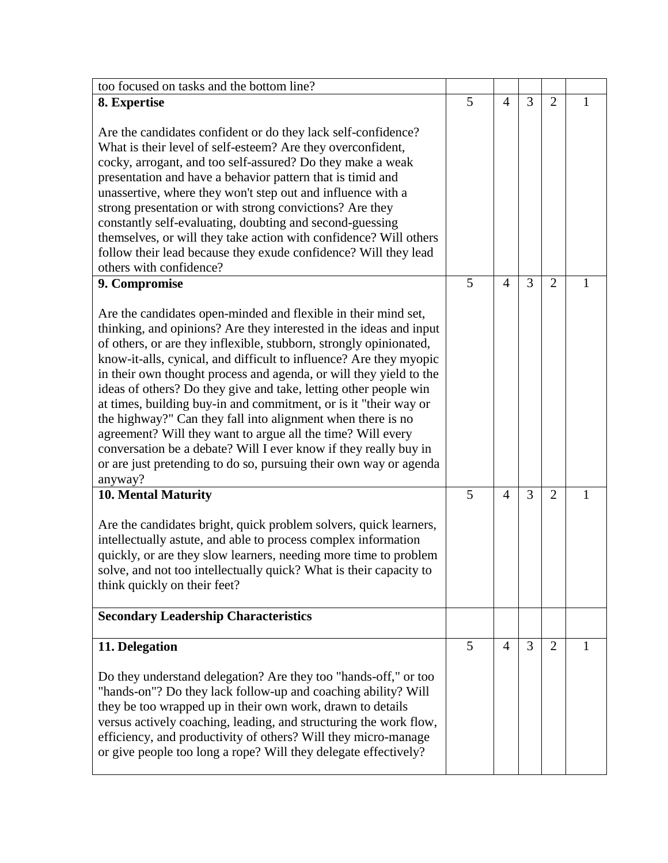| too focused on tasks and the bottom line?                                                                                                                                                                                                                                                                                                                                                                                                                                                                                                                                                                                                                                                                                                                                        |   |                |   |                |   |
|----------------------------------------------------------------------------------------------------------------------------------------------------------------------------------------------------------------------------------------------------------------------------------------------------------------------------------------------------------------------------------------------------------------------------------------------------------------------------------------------------------------------------------------------------------------------------------------------------------------------------------------------------------------------------------------------------------------------------------------------------------------------------------|---|----------------|---|----------------|---|
| 8. Expertise                                                                                                                                                                                                                                                                                                                                                                                                                                                                                                                                                                                                                                                                                                                                                                     | 5 | $\overline{4}$ | 3 | $\overline{2}$ | 1 |
| Are the candidates confident or do they lack self-confidence?<br>What is their level of self-esteem? Are they overconfident,<br>cocky, arrogant, and too self-assured? Do they make a weak<br>presentation and have a behavior pattern that is timid and<br>unassertive, where they won't step out and influence with a<br>strong presentation or with strong convictions? Are they<br>constantly self-evaluating, doubting and second-guessing<br>themselves, or will they take action with confidence? Will others<br>follow their lead because they exude confidence? Will they lead<br>others with confidence?                                                                                                                                                               |   |                |   |                |   |
| 9. Compromise                                                                                                                                                                                                                                                                                                                                                                                                                                                                                                                                                                                                                                                                                                                                                                    | 5 | $\overline{4}$ | 3 | $\overline{2}$ | 1 |
| Are the candidates open-minded and flexible in their mind set,<br>thinking, and opinions? Are they interested in the ideas and input<br>of others, or are they inflexible, stubborn, strongly opinionated,<br>know-it-alls, cynical, and difficult to influence? Are they myopic<br>in their own thought process and agenda, or will they yield to the<br>ideas of others? Do they give and take, letting other people win<br>at times, building buy-in and commitment, or is it "their way or<br>the highway?" Can they fall into alignment when there is no<br>agreement? Will they want to argue all the time? Will every<br>conversation be a debate? Will I ever know if they really buy in<br>or are just pretending to do so, pursuing their own way or agenda<br>anyway? |   |                |   |                |   |
| 10. Mental Maturity                                                                                                                                                                                                                                                                                                                                                                                                                                                                                                                                                                                                                                                                                                                                                              | 5 | $\overline{4}$ | 3 | $\overline{2}$ | 1 |
| Are the candidates bright, quick problem solvers, quick learners,<br>intellectually astute, and able to process complex information<br>quickly, or are they slow learners, needing more time to problem<br>solve, and not too intellectually quick? What is their capacity to<br>think quickly on their feet?                                                                                                                                                                                                                                                                                                                                                                                                                                                                    |   |                |   |                |   |
| <b>Secondary Leadership Characteristics</b>                                                                                                                                                                                                                                                                                                                                                                                                                                                                                                                                                                                                                                                                                                                                      |   |                |   |                |   |
| 11. Delegation                                                                                                                                                                                                                                                                                                                                                                                                                                                                                                                                                                                                                                                                                                                                                                   | 5 | $\overline{4}$ | 3 | $\overline{2}$ | 1 |
| Do they understand delegation? Are they too "hands-off," or too<br>"hands-on"? Do they lack follow-up and coaching ability? Will<br>they be too wrapped up in their own work, drawn to details<br>versus actively coaching, leading, and structuring the work flow,<br>efficiency, and productivity of others? Will they micro-manage<br>or give people too long a rope? Will they delegate effectively?                                                                                                                                                                                                                                                                                                                                                                         |   |                |   |                |   |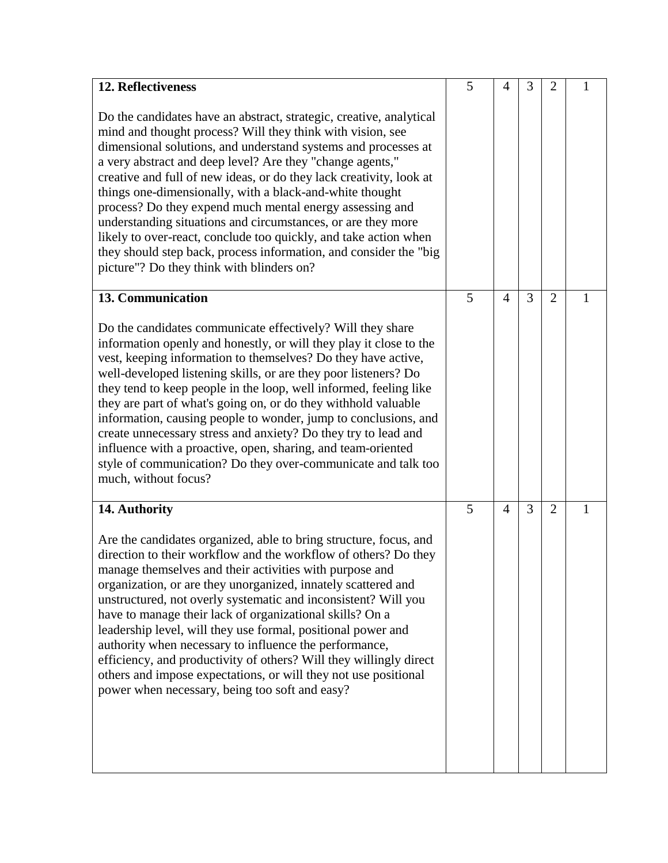| 12. Reflectiveness                                                                                                                                                                                                                                                                                                                                                                                                                                                                                                                                                                                                                                                                                                    | 5 | $\overline{4}$ | 3 | $\overline{2}$ | $\mathbf{1}$ |
|-----------------------------------------------------------------------------------------------------------------------------------------------------------------------------------------------------------------------------------------------------------------------------------------------------------------------------------------------------------------------------------------------------------------------------------------------------------------------------------------------------------------------------------------------------------------------------------------------------------------------------------------------------------------------------------------------------------------------|---|----------------|---|----------------|--------------|
| Do the candidates have an abstract, strategic, creative, analytical<br>mind and thought process? Will they think with vision, see<br>dimensional solutions, and understand systems and processes at<br>a very abstract and deep level? Are they "change agents,"<br>creative and full of new ideas, or do they lack creativity, look at<br>things one-dimensionally, with a black-and-white thought<br>process? Do they expend much mental energy assessing and<br>understanding situations and circumstances, or are they more<br>likely to over-react, conclude too quickly, and take action when<br>they should step back, process information, and consider the "big<br>picture"? Do they think with blinders on? |   |                |   |                |              |
| <b>13. Communication</b>                                                                                                                                                                                                                                                                                                                                                                                                                                                                                                                                                                                                                                                                                              | 5 | $\overline{4}$ | 3 | $\overline{2}$ | 1            |
| Do the candidates communicate effectively? Will they share<br>information openly and honestly, or will they play it close to the<br>vest, keeping information to themselves? Do they have active,<br>well-developed listening skills, or are they poor listeners? Do<br>they tend to keep people in the loop, well informed, feeling like<br>they are part of what's going on, or do they withhold valuable<br>information, causing people to wonder, jump to conclusions, and<br>create unnecessary stress and anxiety? Do they try to lead and<br>influence with a proactive, open, sharing, and team-oriented<br>style of communication? Do they over-communicate and talk too<br>much, without focus?             |   |                |   |                |              |
| 14. Authority                                                                                                                                                                                                                                                                                                                                                                                                                                                                                                                                                                                                                                                                                                         | 5 | $\overline{4}$ | 3 | $\overline{2}$ | 1            |
| Are the candidates organized, able to bring structure, focus, and<br>direction to their workflow and the workflow of others? Do they<br>manage themselves and their activities with purpose and<br>organization, or are they unorganized, innately scattered and<br>unstructured, not overly systematic and inconsistent? Will you<br>have to manage their lack of organizational skills? On a<br>leadership level, will they use formal, positional power and<br>authority when necessary to influence the performance,<br>efficiency, and productivity of others? Will they willingly direct<br>others and impose expectations, or will they not use positional<br>power when necessary, being too soft and easy?   |   |                |   |                |              |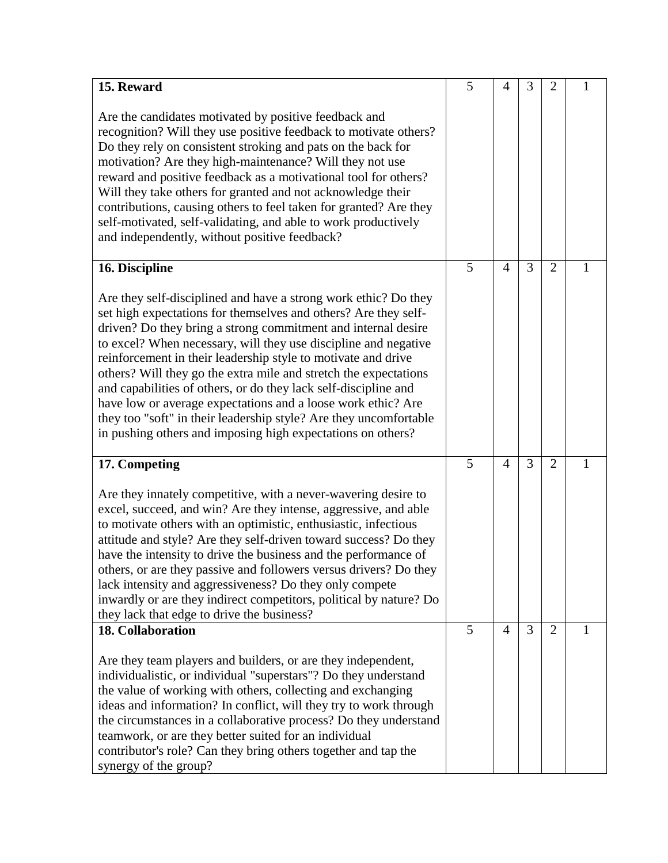| 15. Reward                                                                                                                      | 5 | 4              | 3 | 2              | 1 |
|---------------------------------------------------------------------------------------------------------------------------------|---|----------------|---|----------------|---|
|                                                                                                                                 |   |                |   |                |   |
| Are the candidates motivated by positive feedback and                                                                           |   |                |   |                |   |
| recognition? Will they use positive feedback to motivate others?                                                                |   |                |   |                |   |
| Do they rely on consistent stroking and pats on the back for                                                                    |   |                |   |                |   |
| motivation? Are they high-maintenance? Will they not use                                                                        |   |                |   |                |   |
| reward and positive feedback as a motivational tool for others?                                                                 |   |                |   |                |   |
| Will they take others for granted and not acknowledge their                                                                     |   |                |   |                |   |
| contributions, causing others to feel taken for granted? Are they                                                               |   |                |   |                |   |
| self-motivated, self-validating, and able to work productively                                                                  |   |                |   |                |   |
| and independently, without positive feedback?                                                                                   |   |                |   |                |   |
|                                                                                                                                 |   |                |   |                |   |
| 16. Discipline                                                                                                                  | 5 | $\overline{4}$ | 3 | $\overline{2}$ | 1 |
|                                                                                                                                 |   |                |   |                |   |
| Are they self-disciplined and have a strong work ethic? Do they                                                                 |   |                |   |                |   |
| set high expectations for themselves and others? Are they self-                                                                 |   |                |   |                |   |
| driven? Do they bring a strong commitment and internal desire                                                                   |   |                |   |                |   |
| to excel? When necessary, will they use discipline and negative                                                                 |   |                |   |                |   |
| reinforcement in their leadership style to motivate and drive                                                                   |   |                |   |                |   |
| others? Will they go the extra mile and stretch the expectations                                                                |   |                |   |                |   |
| and capabilities of others, or do they lack self-discipline and                                                                 |   |                |   |                |   |
| have low or average expectations and a loose work ethic? Are                                                                    |   |                |   |                |   |
| they too "soft" in their leadership style? Are they uncomfortable                                                               |   |                |   |                |   |
| in pushing others and imposing high expectations on others?                                                                     |   |                |   |                |   |
| 17. Competing                                                                                                                   | 5 | $\overline{4}$ | 3 | $\overline{2}$ | 1 |
| Are they innately competitive, with a never-wavering desire to                                                                  |   |                |   |                |   |
| excel, succeed, and win? Are they intense, aggressive, and able                                                                 |   |                |   |                |   |
| to motivate others with an optimistic, enthusiastic, infectious                                                                 |   |                |   |                |   |
| attitude and style? Are they self-driven toward success? Do they                                                                |   |                |   |                |   |
| have the intensity to drive the business and the performance of                                                                 |   |                |   |                |   |
| others, or are they passive and followers versus drivers? Do they                                                               |   |                |   |                |   |
| lack intensity and aggressiveness? Do they only compete                                                                         |   |                |   |                |   |
| inwardly or are they indirect competitors, political by nature? Do                                                              |   |                |   |                |   |
| they lack that edge to drive the business?                                                                                      |   |                |   |                |   |
| <b>18. Collaboration</b>                                                                                                        | 5 | $\overline{4}$ | 3 | $\overline{2}$ | 1 |
|                                                                                                                                 |   |                |   |                |   |
| Are they team players and builders, or are they independent,<br>individualistic, or individual "superstars"? Do they understand |   |                |   |                |   |
| the value of working with others, collecting and exchanging                                                                     |   |                |   |                |   |
| ideas and information? In conflict, will they try to work through                                                               |   |                |   |                |   |
| the circumstances in a collaborative process? Do they understand                                                                |   |                |   |                |   |
| teamwork, or are they better suited for an individual                                                                           |   |                |   |                |   |
| contributor's role? Can they bring others together and tap the                                                                  |   |                |   |                |   |
| synergy of the group?                                                                                                           |   |                |   |                |   |